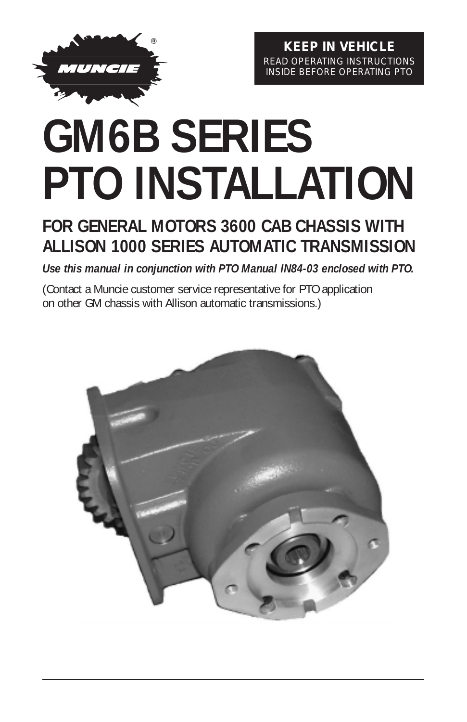

**KEEP IN VEHICLE** READ OPERATING INSTRUCTIONS INSIDE BEFORE OPERATING PTO

# **GM6B SERIES PTO INSTALLATION**

# **FOR GENERAL MOTORS 3600 CAB CHASSIS WITH ALLISON 1000 SERIES AUTOMATIC TRANSMISSION**

*Use this manual in conjunction with PTO Manual IN84-03 enclosed with PTO.*

(Contact a Muncie customer service representative for PTO application on other GM chassis with Allison automatic transmissions.)

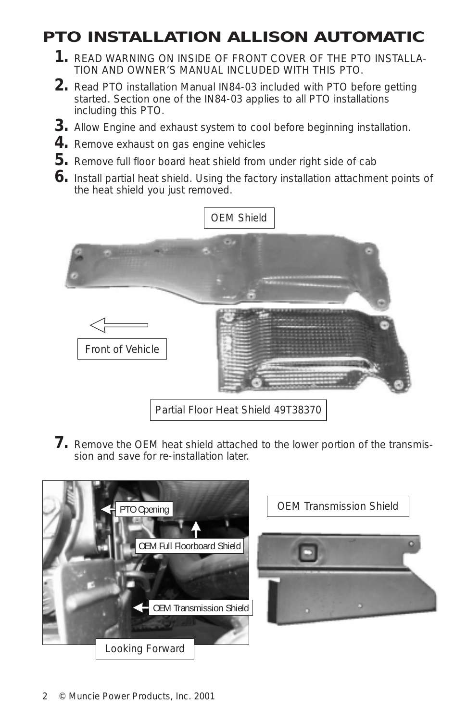# **PTO INSTALLATION ALLISON AUTOMATIC**

- **1.** READ WARNING ON INSIDE OF FRONT COVER OF THE PTO INSTALLA-TION AND OWNER'S MANUAL INCLUDED WITH THIS PTO.
- **2.** Read PTO installation Manual IN84-03 included with PTO before getting started. Section one of the IN84-03 applies to all PTO installations including this PTO.
- **3.** Allow Engine and exhaust system to cool before beginning installation.
- **4.** Remove exhaust on gas engine vehicles
- **5.** Remove full floor board heat shield from under right side of cab
- **6.** Install partial heat shield. Using the factory installation attachment points of the heat shield you just removed.



**7.** Remove the OEM heat shield attached to the lower portion of the transmission and save for re-installation later.

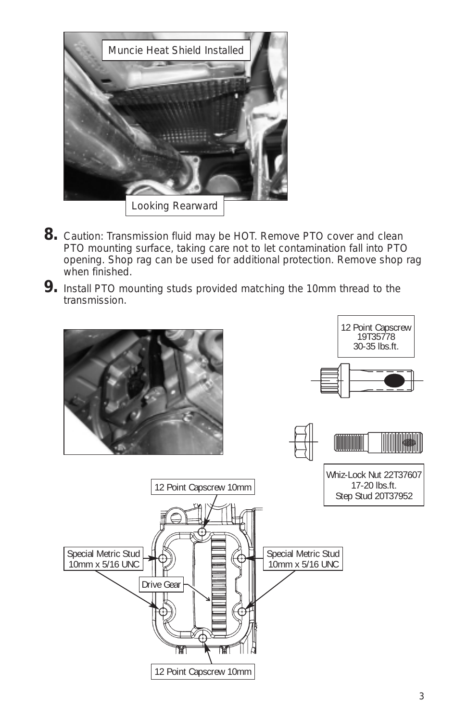

- **8.** Caution: Transmission fluid may be HOT. Remove PTO cover and clean PTO mounting surface, taking care not to let contamination fall into PTO opening. Shop rag can be used for additional protection. Remove shop rag when finished.
- **9.** Install PTO mounting studs provided matching the 10mm thread to the transmission.

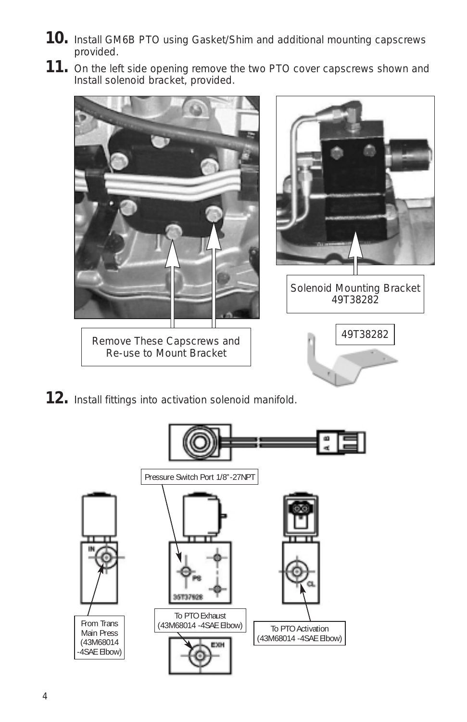- **10.** Install GM6B PTO using Gasket/Shim and additional mounting capscrews provided.
- **11.** On the left side opening remove the two PTO cover capscrews shown and Install solenoid bracket, provided.



**12.** Install fittings into activation solenoid manifold.

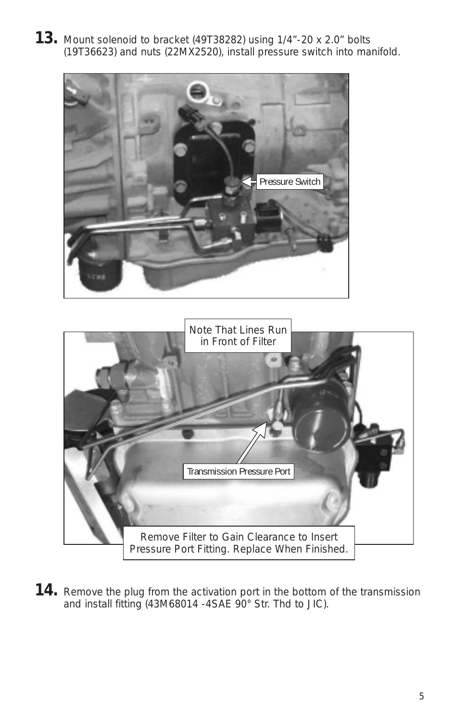**13.** Mount solenoid to bracket (49T38282) using 1/4"-20 x 2.0" bolts (19T36623) and nuts (22MX2520), install pressure switch into manifold.





**14.** Remove the plug from the activation port in the bottom of the transmission and install fitting (43M68014 -4SAE 90° Str. Thd to JIC).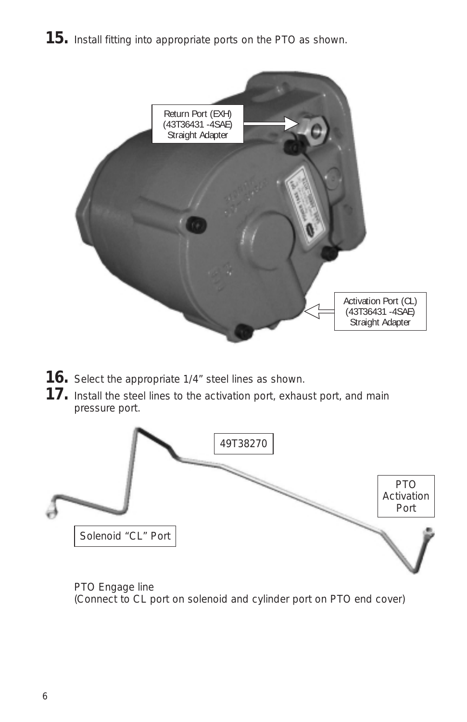**15.** Install fitting into appropriate ports on the PTO as shown.



- **16.** Select the appropriate 1/4" steel lines as shown.
- **17.** Install the steel lines to the activation port, exhaust port, and main pressure port.



PTO Engage line (Connect to CL port on solenoid and cylinder port on PTO end cover)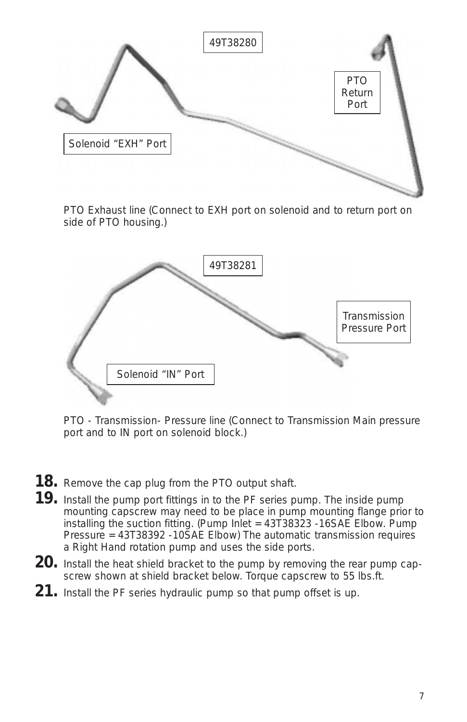

PTO Exhaust line (Connect to EXH port on solenoid and to return port on side of PTO housing.)



PTO - Transmission- Pressure line (Connect to Transmission Main pressure port and to IN port on solenoid block.)

- **18.** Remove the cap plug from the PTO output shaft.
- **19.** Install the pump port fittings in to the PF series pump. The inside pump mounting capscrew may need to be place in pump mounting flange prior to installing the suction fitting. (Pump Inlet = 43T38323 -16SAE Elbow. Pump Pressure = 43T38392 -10SAE Elbow) The automatic transmission requires a Right Hand rotation pump and uses the side ports.
- **20.** Install the heat shield bracket to the pump by removing the rear pump capscrew shown at shield bracket below. Torque capscrew to 55 lbs.ft.
- **21.** Install the PF series hydraulic pump so that pump offset is up.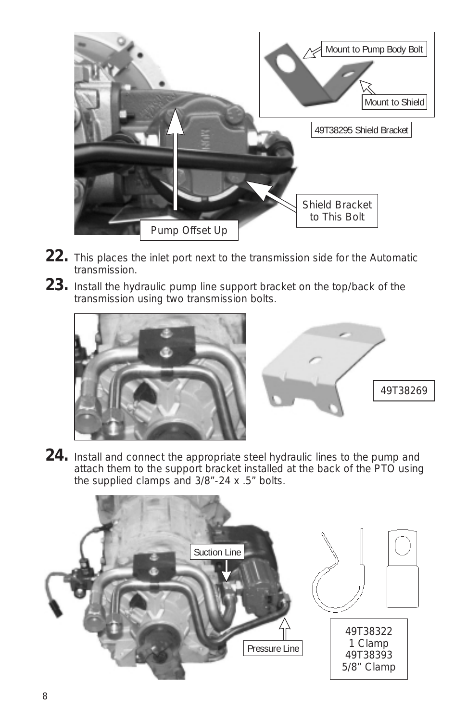

- **22.** This places the inlet port next to the transmission side for the Automatic transmission.
- **23.** Install the hydraulic pump line support bracket on the top/back of the transmission using two transmission bolts.





**24.** Install and connect the appropriate steel hydraulic lines to the pump and attach them to the support bracket installed at the back of the PTO using the supplied clamps and 3/8"-24 x .5" bolts.

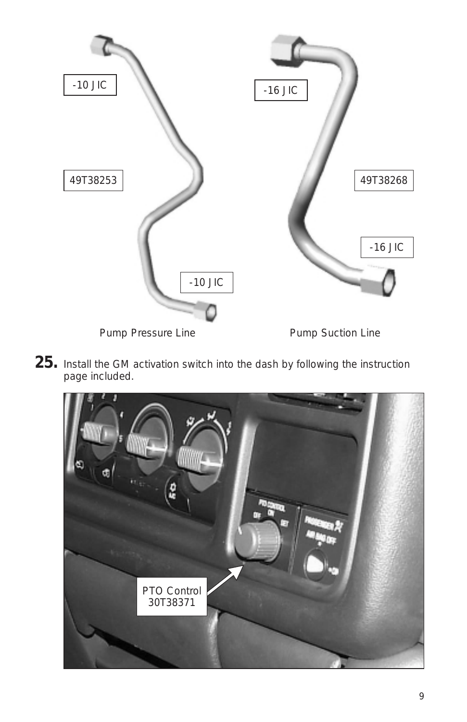

**25.** Install the GM activation switch into the dash by following the instruction page included.

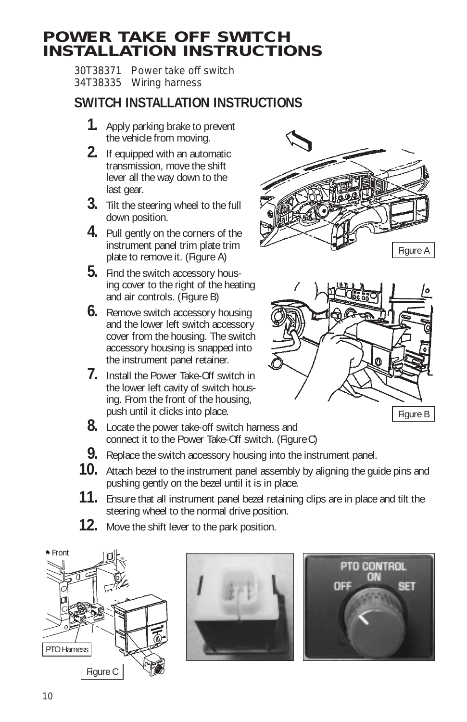## **POWER TAKE OFF SWITCH INSTALLATION INSTRUCTIONS**

30T38371 Power take off switch 34T38335 Wiring harness

## **SWITCH INSTALLATION INSTRUCTIONS**

- **1.** Apply parking brake to prevent the vehicle from moving.
- **2.** If equipped with an automatic transmission, move the shift lever all the way down to the last gear.
- **3.** Tilt the steering wheel to the full down position.
- **4.** Pull gently on the corners of the instrument panel trim plate trim plate to remove it. (Figure A)
- **5.** Find the switch accessory housing cover to the right of the heating and air controls. (Figure B)
- **6.** Remove switch accessory housing and the lower left switch accessory cover from the housing. The switch accessory housing is snapped into the instrument panel retainer.
- **7.** Install the Power Take-Off switch in the lower left cavity of switch housing. From the front of the housing, push until it clicks into place.
- **8.** Locate the power take-off switch harness and connect it to the Power Take-Off switch. (Figure C)
- **9.** Replace the switch accessory housing into the instrument panel.
- **10.** Attach bezel to the instrument panel assembly by aligning the guide pins and pushing gently on the bezel until it is in place.
- **11.** Ensure that all instrument panel bezel retaining clips are in place and tilt the steering wheel to the normal drive position.
- **12.** Move the shift lever to the park position.









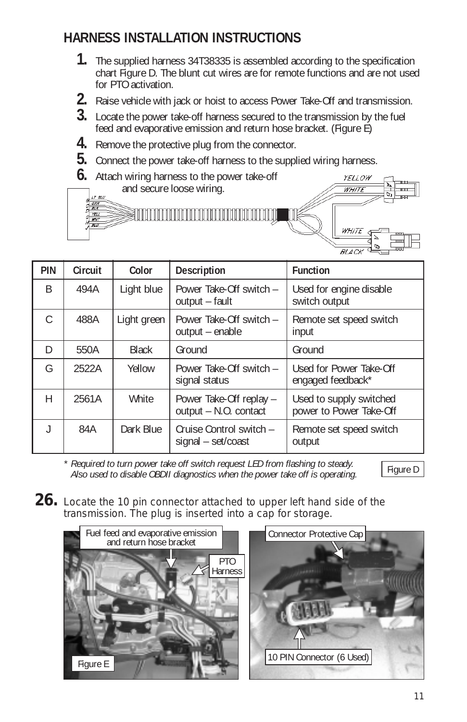## **HARNESS INSTALLATION INSTRUCTIONS**

- **1.** The supplied harness 34T38335 is assembled according to the specification chart Figure D. The blunt cut wires are for remote functions and are not used for PTO activation.
- **2.** Raise vehicle with jack or hoist to access Power Take-Off and transmission.
- **3.** Locate the power take-off harness secured to the transmission by the fuel feed and evaporative emission and return hose bracket. (Figure E)
- **4.** Remove the protective plug from the connector.
- **5.** Connect the power take-off harness to the supplied wiring harness.
- **6.** Attach wiring harness to the power take-off and secure loose wiring.  $\begin{array}{c}\n\frac{LT}{C} & \frac{R}{C} \\
\frac{C}{C} & \frac{R}{C} \\
\frac{R}{C} & \frac{R}{C} \\
\frac{R}{C} & \frac{R}{C} \\
\frac{R}{C} & \frac{R}{C} \\
\frac{R}{C} & \frac{R}{C} \\
\frac{R}{C} & \frac{R}{C} \\
\frac{R}{C} & \frac{R}{C} \\
\frac{R}{C} & \frac{R}{C} \\
\frac{R}{C} & \frac{R}{C} \\
\frac{R}{C} & \frac{R}{C} \\
\frac{R}{C} & \frac{R}{C} \\
\frac{R}{C} & \frac{R}{C} \\
\frac{$

 $\overline{w}$ 



| PIN           | Circuit | Color        | Description                                      | <b>Function</b>                                    |
|---------------|---------|--------------|--------------------------------------------------|----------------------------------------------------|
| B             | 494A    | Light blue   | Power Take-Off switch -<br>output - fault        | Used for engine disable<br>switch output           |
| $\mathcal{C}$ | 488A    | Light green  | Power Take-Off switch -<br>output - enable       | Remote set speed switch<br>input                   |
| D             | 550A    | <b>Black</b> | Ground                                           | Ground                                             |
| G             | 2522A   | Yellow       | Power Take-Off switch -<br>signal status         | Used for Power Take-Off<br>engaged feedback*       |
| H             | 2561A   | White        | Power Take-Off replay -<br>output - N.O. contact | Used to supply switched<br>power to Power Take-Off |
|               | 84A     | Dark Blue    | Cruise Control switch -<br>signal – set/coast    | Remote set speed switch<br>output                  |

*\* Required to turn power take off switch request LED from flashing to steady. Also used to disable OBDII diagnostics when the power take off is operating.* Figure D

**26.** Locate the 10 pin connector attached to upper left hand side of the transmission. The plug is inserted into a cap for storage.

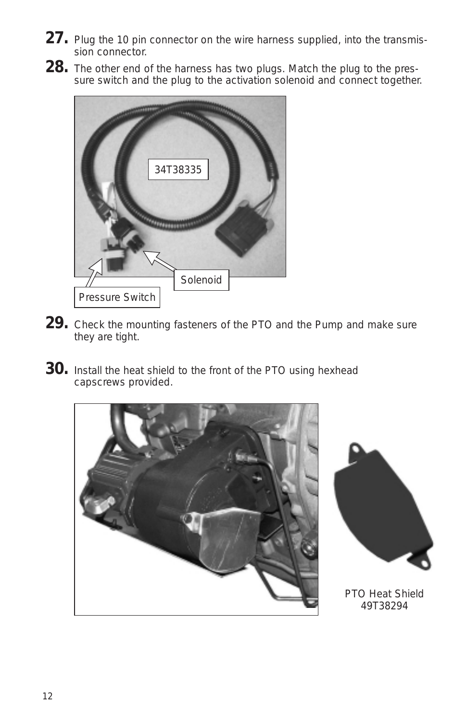- 27. Plug the 10 pin connector on the wire harness supplied, into the transmission connector.
- **28.** The other end of the harness has two plugs. Match the plug to the pressure switch and the plug to the activation solenoid and connect together.



- **29.** Check the mounting fasteners of the PTO and the Pump and make sure they are tight.
- **30.** Install the heat shield to the front of the PTO using hexhead capscrews provided.





PTO Heat Shield 49T38294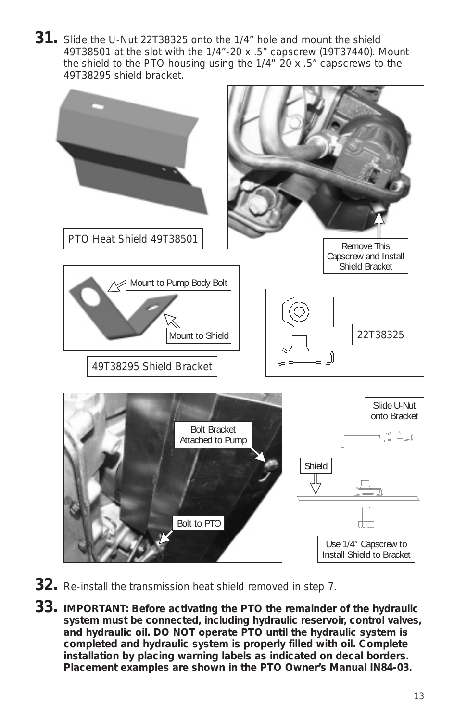**31.** Slide the U-Nut 22T38325 onto the 1/4" hole and mount the shield 49T38501 at the slot with the 1/4"-20 x .5" capscrew (19T37440). Mount the shield to the PTO housing using the 1/4"-20 x .5" capscrews to the 49T38295 shield bracket.



- **32.** Re-install the transmission heat shield removed in step 7.
- **33. IMPORTANT: Before activating the PTO the remainder of the hydraulic system must be connected, including hydraulic reservoir, control valves, and hydraulic oil. DO NOT operate PTO until the hydraulic system is completed and hydraulic system is properly filled with oil. Complete installation by placing warning labels as indicated on decal borders. Placement examples are shown in the PTO Owner's Manual IN84-03.**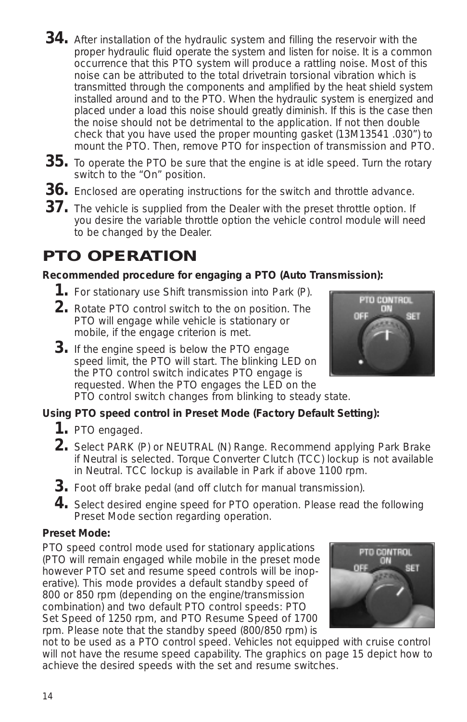14

- **34.** After installation of the hydraulic system and filling the reservoir with the proper hydraulic fluid operate the system and listen for noise. It is a common occurrence that this PTO system will produce a rattling noise. Most of this noise can be attributed to the total drivetrain torsional vibration which is transmitted through the components and amplified by the heat shield system installed around and to the PTO. When the hydraulic system is energized and placed under a load this noise should greatly diminish. If this is the case then the noise should not be detrimental to the application. If not then double check that you have used the proper mounting gasket (13M13541 .030") to mount the PTO. Then, remove PTO for inspection of transmission and PTO.
- **35.** To operate the PTO be sure that the engine is at idle speed. Turn the rotary switch to the "On" position.
- **36.** Enclosed are operating instructions for the switch and throttle advance.
- **37.** The vehicle is supplied from the Dealer with the preset throttle option. If you desire the variable throttle option the vehicle control module will need to be changed by the Dealer.

## **PTO OPERATION**

#### **Recommended procedure for engaging a PTO (Auto Transmission):**

- **1.** For stationary use Shift transmission into Park (P).
- **2.** Rotate PTO control switch to the on position. The PTO will engage while vehicle is stationary or mobile, if the engage criterion is met.
- **3.** If the engine speed is below the PTO engage speed limit, the PTO will start. The blinking LED on the PTO control switch indicates PTO engage is requested. When the PTO engages the LED on the PTO control switch changes from blinking to steady state.

#### **Using PTO speed control in Preset Mode (Factory Default Setting):**

- **1.** PTO engaged.
- **2.** Select PARK (P) or NEUTRAL (N) Range. Recommend applying Park Brake if Neutral is selected. Torque Converter Clutch (TCC) lockup is not available in Neutral. TCC lockup is available in Park if above 1100 rpm.
- **3.** Foot off brake pedal (and off clutch for manual transmission).
- **4.** Select desired engine speed for PTO operation. Please read the following Preset Mode section regarding operation.

#### **Preset Mode:**

PTO speed control mode used for stationary applications (PTO will remain engaged while mobile in the preset mode however PTO set and resume speed controls will be inoperative). This mode provides a default standby speed of 800 or 850 rpm (depending on the engine/transmission combination) and two default PTO control speeds: PTO Set Speed of 1250 rpm, and PTO Resume Speed of 1700 rpm. Please note that the standby speed (800/850 rpm) is

not to be used as a PTO control speed. Vehicles not equipped with cruise control will not have the resume speed capability. The graphics on page 15 depict how to achieve the desired speeds with the set and resume switches.



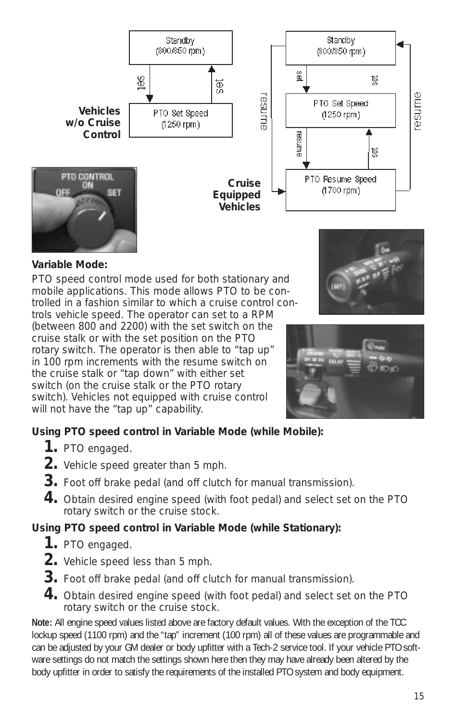

#### **Variable Mode:**

PTO speed control mode used for both stationary and mobile applications. This mode allows PTO to be controlled in a fashion similar to which a cruise control controls vehicle speed. The operator can set to a RPM (between 800 and 2200) with the set switch on the cruise stalk or with the set position on the PTO rotary switch. The operator is then able to "tap up" in 100 rpm increments with the resume switch on the cruise stalk or "tap down" with either set switch (on the cruise stalk or the PTO rotary switch). Vehicles not equipped with cruise control





#### **Using PTO speed control in Variable Mode (while Mobile):**

- **1.** PTO engaged.
- **2.** Vehicle speed greater than 5 mph.

will not have the "tap up" capability.

- **3.** Foot off brake pedal (and off clutch for manual transmission).
- **4.** Obtain desired engine speed (with foot pedal) and select set on the PTO rotary switch or the cruise stock.

#### **Using PTO speed control in Variable Mode (while Stationary):**

- **1.** PTO engaged.
- **2.** Vehicle speed less than 5 mph.
- **3.** Foot off brake pedal (and off clutch for manual transmission).
- **4.** Obtain desired engine speed (with foot pedal) and select set on the PTO rotary switch or the cruise stock.

**Note:** All engine speed values listed above are factory default values. With the exception of the TCC lockup speed (1100 rpm) and the "tap" increment (100 rpm) all of these values are programmable and can be adjusted by your GM dealer or body upfitter with a Tech-2 service tool. If your vehicle PTO software settings do not match the settings shown here then they may have already been altered by the body upfitter in order to satisfy the requirements of the installed PTO system and body equipment.